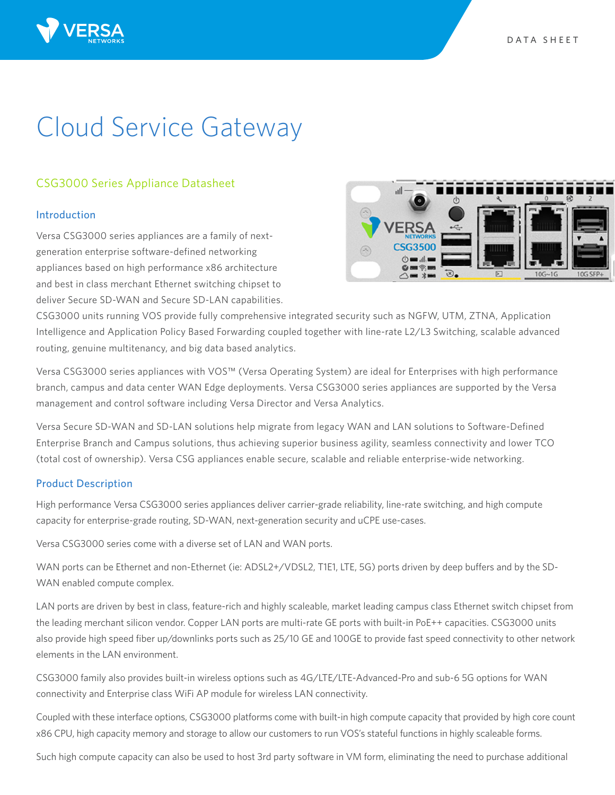# Cloud Service Gateway

# CSG3000 Series Appliance Datasheet

# Introduction

Versa CSG3000 series appliances are a family of nextgeneration enterprise software-defined networking appliances based on high performance x86 architecture and best in class merchant Ethernet switching chipset to deliver Secure SD-WAN and Secure SD-LAN capabilities.



CSG3000 units running VOS provide fully comprehensive integrated security such as NGFW, UTM, ZTNA, Application Intelligence and Application Policy Based Forwarding coupled together with line-rate L2/L3 Switching, scalable advanced routing, genuine multitenancy, and big data based analytics.

Versa CSG3000 series appliances with VOS™ (Versa Operating System) are ideal for Enterprises with high performance branch, campus and data center WAN Edge deployments. Versa CSG3000 series appliances are supported by the Versa management and control software including Versa Director and Versa Analytics.

Versa Secure SD-WAN and SD-LAN solutions help migrate from legacy WAN and LAN solutions to Software-Defined Enterprise Branch and Campus solutions, thus achieving superior business agility, seamless connectivity and lower TCO (total cost of ownership). Versa CSG appliances enable secure, scalable and reliable enterprise-wide networking.

# Product Description

High performance Versa CSG3000 series appliances deliver carrier-grade reliability, line-rate switching, and high compute capacity for enterprise-grade routing, SD-WAN, next-generation security and uCPE use-cases.

Versa CSG3000 series come with a diverse set of LAN and WAN ports.

WAN ports can be Ethernet and non-Ethernet (ie: ADSL2+/VDSL2, T1E1, LTE, 5G) ports driven by deep buffers and by the SD-WAN enabled compute complex.

LAN ports are driven by best in class, feature-rich and highly scaleable, market leading campus class Ethernet switch chipset from the leading merchant silicon vendor. Copper LAN ports are multi-rate GE ports with built-in PoE++ capacities. CSG3000 units also provide high speed fiber up/downlinks ports such as 25/10 GE and 100GE to provide fast speed connectivity to other network elements in the LAN environment.

CSG3000 family also provides built-in wireless options such as 4G/LTE/LTE-Advanced-Pro and sub-6 5G options for WAN connectivity and Enterprise class WiFi AP module for wireless LAN connectivity.

Coupled with these interface options, CSG3000 platforms come with built-in high compute capacity that provided by high core count x86 CPU, high capacity memory and storage to allow our customers to run VOS's stateful functions in highly scaleable forms.

Such high compute capacity can also be used to host 3rd party software in VM form, eliminating the need to purchase additional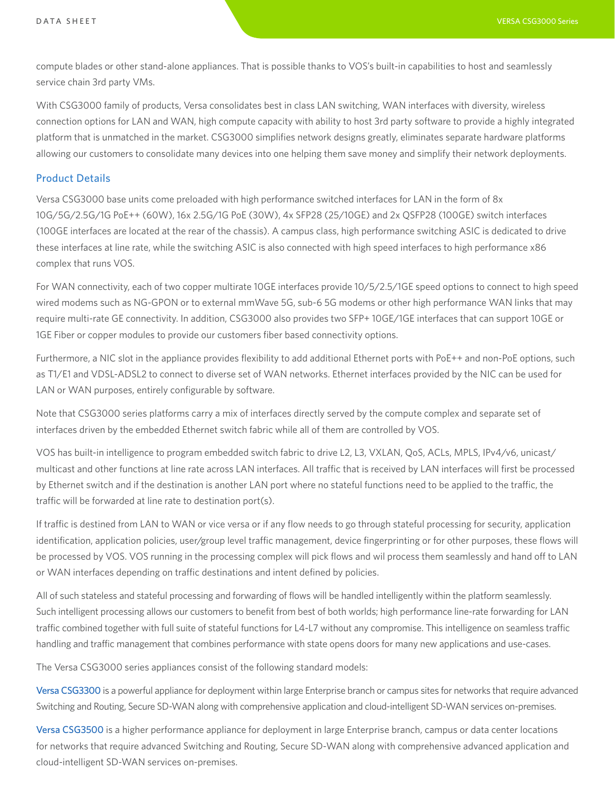compute blades or other stand-alone appliances. That is possible thanks to VOS's built-in capabilities to host and seamlessly service chain 3rd party VMs.

With CSG3000 family of products, Versa consolidates best in class LAN switching, WAN interfaces with diversity, wireless connection options for LAN and WAN, high compute capacity with ability to host 3rd party software to provide a highly integrated platform that is unmatched in the market. CSG3000 simplifies network designs greatly, eliminates separate hardware platforms allowing our customers to consolidate many devices into one helping them save money and simplify their network deployments.

## Product Details

Versa CSG3000 base units come preloaded with high performance switched interfaces for LAN in the form of 8x 10G/5G/2.5G/1G PoE++ (60W), 16x 2.5G/1G PoE (30W), 4x SFP28 (25/10GE) and 2x QSFP28 (100GE) switch interfaces (100GE interfaces are located at the rear of the chassis). A campus class, high performance switching ASIC is dedicated to drive these interfaces at line rate, while the switching ASIC is also connected with high speed interfaces to high performance x86 complex that runs VOS.

For WAN connectivity, each of two copper multirate 10GE interfaces provide 10/5/2.5/1GE speed options to connect to high speed wired modems such as NG-GPON or to external mmWave 5G, sub-6 5G modems or other high performance WAN links that may require multi-rate GE connectivity. In addition, CSG3000 also provides two SFP+ 10GE/1GE interfaces that can support 10GE or 1GE Fiber or copper modules to provide our customers fiber based connectivity options.

Furthermore, a NIC slot in the appliance provides flexibility to add additional Ethernet ports with PoE++ and non-PoE options, such as T1/E1 and VDSL-ADSL2 to connect to diverse set of WAN networks. Ethernet interfaces provided by the NIC can be used for LAN or WAN purposes, entirely configurable by software.

Note that CSG3000 series platforms carry a mix of interfaces directly served by the compute complex and separate set of interfaces driven by the embedded Ethernet switch fabric while all of them are controlled by VOS.

VOS has built-in intelligence to program embedded switch fabric to drive L2, L3, VXLAN, QoS, ACLs, MPLS, IPv4/v6, unicast/ multicast and other functions at line rate across LAN interfaces. All traffic that is received by LAN interfaces will first be processed by Ethernet switch and if the destination is another LAN port where no stateful functions need to be applied to the traffic, the traffic will be forwarded at line rate to destination port(s).

If traffic is destined from LAN to WAN or vice versa or if any flow needs to go through stateful processing for security, application identification, application policies, user/group level traffic management, device fingerprinting or for other purposes, these flows will be processed by VOS. VOS running in the processing complex will pick flows and wil process them seamlessly and hand off to LAN or WAN interfaces depending on traffic destinations and intent defined by policies.

All of such stateless and stateful processing and forwarding of flows will be handled intelligently within the platform seamlessly. Such intelligent processing allows our customers to benefit from best of both worlds; high performance line-rate forwarding for LAN traffic combined together with full suite of stateful functions for L4-L7 without any compromise. This intelligence on seamless traffic handling and traffic management that combines performance with state opens doors for many new applications and use-cases.

The Versa CSG3000 series appliances consist of the following standard models:

Versa CSG3300 is a powerful appliance for deployment within large Enterprise branch or campus sites for networks that require advanced Switching and Routing, Secure SD-WAN along with comprehensive application and cloud-intelligent SD-WAN services on-premises.

Versa CSG3500 is a higher performance appliance for deployment in large Enterprise branch, campus or data center locations for networks that require advanced Switching and Routing, Secure SD-WAN along with comprehensive advanced application and cloud-intelligent SD-WAN services on-premises.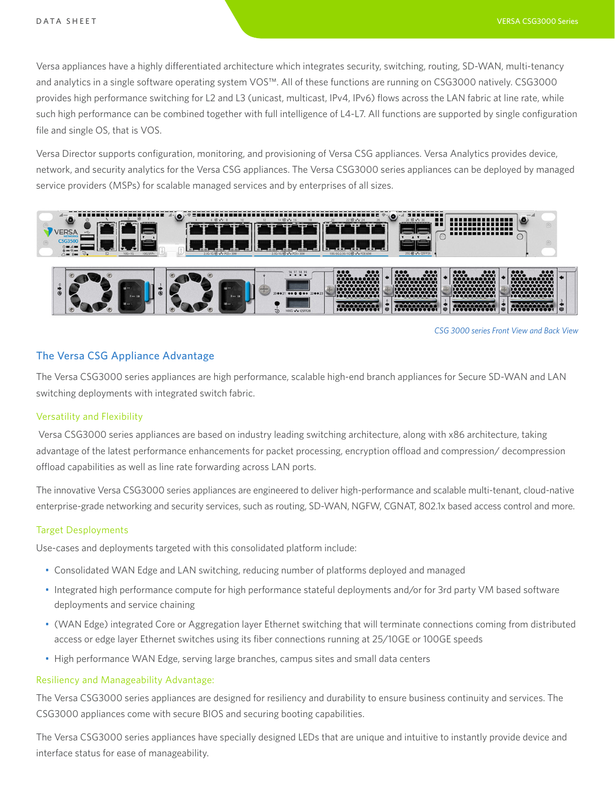Versa appliances have a highly differentiated architecture which integrates security, switching, routing, SD-WAN, multi-tenancy and analytics in a single software operating system VOS™. All of these functions are running on CSG3000 natively. CSG3000 provides high performance switching for L2 and L3 (unicast, multicast, IPv4, IPv6) flows across the LAN fabric at line rate, while such high performance can be combined together with full intelligence of L4-L7. All functions are supported by single configuration file and single OS, that is VOS.

Versa Director supports configuration, monitoring, and provisioning of Versa CSG appliances. Versa Analytics provides device, network, and security analytics for the Versa CSG appliances. The Versa CSG3000 series appliances can be deployed by managed service providers (MSPs) for scalable managed services and by enterprises of all sizes.



*CSG 3000 series Front View and Back View*

## The Versa CSG Appliance Advantage

The Versa CSG3000 series appliances are high performance, scalable high-end branch appliances for Secure SD-WAN and LAN switching deployments with integrated switch fabric.

#### Versatility and Flexibility

 Versa CSG3000 series appliances are based on industry leading switching architecture, along with x86 architecture, taking advantage of the latest performance enhancements for packet processing, encryption offload and compression/ decompression offload capabilities as well as line rate forwarding across LAN ports.

The innovative Versa CSG3000 series appliances are engineered to deliver high-performance and scalable multi-tenant, cloud-native enterprise-grade networking and security services, such as routing, SD-WAN, NGFW, CGNAT, 802.1x based access control and more.

#### Target Desployments

Use-cases and deployments targeted with this consolidated platform include:

- Consolidated WAN Edge and LAN switching, reducing number of platforms deployed and managed
- Integrated high performance compute for high performance stateful deployments and/or for 3rd party VM based software deployments and service chaining
- (WAN Edge) integrated Core or Aggregation layer Ethernet switching that will terminate connections coming from distributed access or edge layer Ethernet switches using its fiber connections running at 25/10GE or 100GE speeds
- High performance WAN Edge, serving large branches, campus sites and small data centers

#### Resiliency and Manageability Advantage:

The Versa CSG3000 series appliances are designed for resiliency and durability to ensure business continuity and services. The CSG3000 appliances come with secure BIOS and securing booting capabilities.

The Versa CSG3000 series appliances have specially designed LEDs that are unique and intuitive to instantly provide device and interface status for ease of manageability.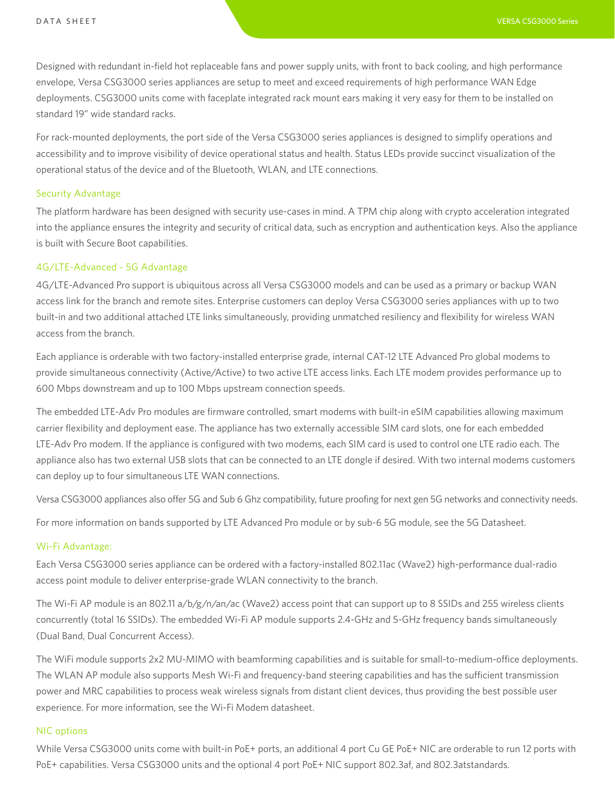Designed with redundant in-field hot replaceable fans and power supply units, with front to back cooling, and high performance envelope, Versa CSG3000 series appliances are setup to meet and exceed requirements of high performance WAN Edge deployments. CSG3000 units come with faceplate integrated rack mount ears making it very easy for them to be installed on standard 19" wide standard racks.

For rack-mounted deployments, the port side of the Versa CSG3000 series appliances is designed to simplify operations and accessibility and to improve visibility of device operational status and health. Status LEDs provide succinct visualization of the operational status of the device and of the Bluetooth, WLAN, and LTE connections.

#### Security Advantage

The platform hardware has been designed with security use-cases in mind. A TPM chip along with crypto acceleration integrated into the appliance ensures the integrity and security of critical data, such as encryption and authentication keys. Also the appliance is built with Secure Boot capabilities.

#### 4G/LTE-Advanced - 5G Advantage

4G/LTE-Advanced Pro support is ubiquitous across all Versa CSG3000 models and can be used as a primary or backup WAN access link for the branch and remote sites. Enterprise customers can deploy Versa CSG3000 series appliances with up to two built-in and two additional attached LTE links simultaneously, providing unmatched resiliency and flexibility for wireless WAN access from the branch.

Each appliance is orderable with two factory-installed enterprise grade, internal CAT-12 LTE Advanced Pro global modems to provide simultaneous connectivity (Active/Active) to two active LTE access links. Each LTE modem provides performance up to 600 Mbps downstream and up to 100 Mbps upstream connection speeds.

The embedded LTE-Adv Pro modules are firmware controlled, smart modems with built-in eSIM capabilities allowing maximum carrier flexibility and deployment ease. The appliance has two externally accessible SIM card slots, one for each embedded LTE-Adv Pro modem. If the appliance is configured with two modems, each SIM card is used to control one LTE radio each. The appliance also has two external USB slots that can be connected to an LTE dongle if desired. With two internal modems customers can deploy up to four simultaneous LTE WAN connections.

Versa CSG3000 appliances also offer 5G and Sub 6 Ghz compatibility, future proofing for next gen 5G networks and connectivity needs.

For more information on bands supported by LTE Advanced Pro module or by sub-6 5G module, see the 5G Datasheet.

#### Wi-Fi Advantage:

Each Versa CSG3000 series appliance can be ordered with a factory-installed 802.11ac (Wave2) high-performance dual-radio access point module to deliver enterprise-grade WLAN connectivity to the branch.

The Wi-Fi AP module is an 802.11 a/b/g/n/an/ac (Wave2) access point that can support up to 8 SSIDs and 255 wireless clients concurrently (total 16 SSIDs). The embedded Wi-Fi AP module supports 2.4-GHz and 5-GHz frequency bands simultaneously (Dual Band, Dual Concurrent Access).

The WiFi module supports 2x2 MU-MIMO with beamforming capabilities and is suitable for small-to-medium-office deployments. The WLAN AP module also supports Mesh Wi-Fi and frequency-band steering capabilities and has the sufficient transmission power and MRC capabilities to process weak wireless signals from distant client devices, thus providing the best possible user experience. For more information, see the Wi-Fi Modem datasheet.

#### NIC options

While Versa CSG3000 units come with built-in PoE+ ports, an additional 4 port Cu GE PoE+ NIC are orderable to run 12 ports with PoE+ capabilities. Versa CSG3000 units and the optional 4 port PoE+ NIC support 802.3af, and 802.3atstandards.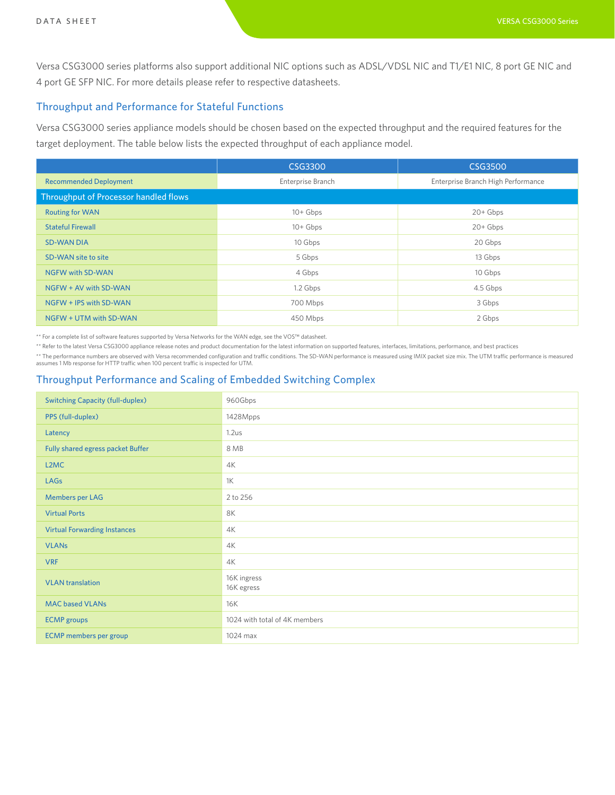Versa CSG3000 series platforms also support additional NIC options such as ADSL/VDSL NIC and T1/E1 NIC, 8 port GE NIC and 4 port GE SFP NIC. For more details please refer to respective datasheets.

## Throughput and Performance for Stateful Functions

Versa CSG3000 series appliance models should be chosen based on the expected throughput and the required features for the target deployment. The table below lists the expected throughput of each appliance model.

|                                       | CSG3300           | <b>CSG3500</b>                     |  |  |
|---------------------------------------|-------------------|------------------------------------|--|--|
| <b>Recommended Deployment</b>         | Enterprise Branch | Enterprise Branch High Performance |  |  |
| Throughput of Processor handled flows |                   |                                    |  |  |
| <b>Routing for WAN</b>                | $10 + Gbps$       | $20 + Gbps$                        |  |  |
| <b>Stateful Firewall</b>              | $10 + Gbps$       | $20 + Gbps$                        |  |  |
| <b>SD-WAN DIA</b>                     | 10 Gbps           | 20 Gbps                            |  |  |
| SD-WAN site to site                   | 5 Gbps            | 13 Gbps                            |  |  |
| <b>NGFW with SD-WAN</b>               | 4 Gbps            | 10 Gbps                            |  |  |
| NGFW + AV with SD-WAN                 | 1.2 Gbps          | 4.5 Gbps                           |  |  |
| NGFW + IPS with SD-WAN                | 700 Mbps          | 3 Gbps                             |  |  |
| NGFW + UTM with SD-WAN                | 450 Mbps          | 2 Gbps                             |  |  |

\*\* For a complete list of software features supported by Versa Networks for the WAN edge, see the VOS™ datasheet.

\*\* Refer to the latest Versa CSG3000 appliance release notes and product documentation for the latest information on supported features, interfaces, limitations, performance, and best practices

\*\* The performance numbers are observed with Versa recommended configuration and traffic conditions. The SD-WAN performance is measured using IMIX packet size mix. The UTM traffic performance is measured assumes 1 Mb response for HTTP traffic when 100 percent traffic is inspected for UTM.

# Throughput Performance and Scaling of Embedded Switching Complex

| <b>Switching Capacity (full-duplex)</b> | 960Gbps                       |
|-----------------------------------------|-------------------------------|
| PPS (full-duplex)                       | 1428Mpps                      |
| Latency                                 | 1.2us                         |
| Fully shared egress packet Buffer       | 8 MB                          |
| L2MC                                    | 4K                            |
| LAGs                                    | 1K                            |
| <b>Members per LAG</b>                  | 2 to 256                      |
| <b>Virtual Ports</b>                    | 8K                            |
| <b>Virtual Forwarding Instances</b>     | 4K                            |
| <b>VLANs</b>                            | 4K                            |
| <b>VRF</b>                              | 4K                            |
| <b>VLAN</b> translation                 | 16K ingress<br>16K egress     |
| <b>MAC based VLANs</b>                  | <b>16K</b>                    |
| <b>ECMP</b> groups                      | 1024 with total of 4K members |
| <b>ECMP</b> members per group           | 1024 max                      |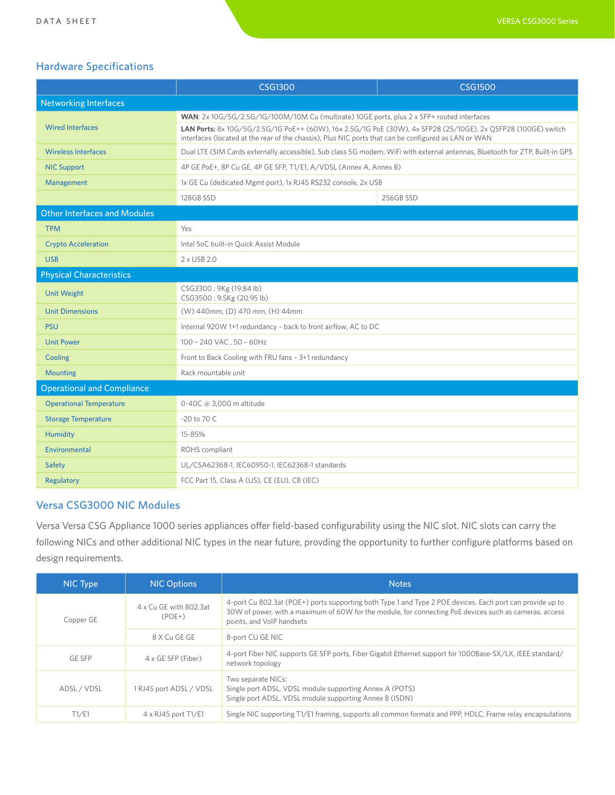# Hardware Specifications

|                                   | <b>CSG1300</b>                                                                                                                                                                                                        | <b>CSG1500</b> |  |  |
|-----------------------------------|-----------------------------------------------------------------------------------------------------------------------------------------------------------------------------------------------------------------------|----------------|--|--|
| <b>Networking Interfaces</b>      |                                                                                                                                                                                                                       |                |  |  |
| <b>Wired Interfaces</b>           | WAN: 2x 10G/5G/2.5G/1G/100M/10M Cu (multirate) 10GE ports, plus 2 x SFP+ routed interfaces                                                                                                                            |                |  |  |
|                                   | LAN Ports: 8x 10G/5G/2.5G/1G PoE++ (60W), 16x 2.5G/1G PoE (30W), 4x SFP28 (25/10GE), 2x OSFP28 (100GE) switch<br>interfaces (located at the rear of the chassis), Plus NIC ports that can be configured as LAN or WAN |                |  |  |
| <b>Wireless Interfaces</b>        | Dual LTE (SIM Cards externally accessible), Sub class 5G modem, WiFi with external antennas, Bluetooth for ZTP, Built-in GPS                                                                                          |                |  |  |
| <b>NIC Support</b>                | 4P GE PoE+, 8P Cu GE, 4P GE SFP, T1/E1, A/VDSL (Annex A, Annex B)                                                                                                                                                     |                |  |  |
| Management                        | 1x GE Cu (dedicated Mgmt port), 1x RJ45 RS232 console, 2x USB                                                                                                                                                         |                |  |  |
|                                   | 128GB SSD                                                                                                                                                                                                             | 256GB SSD      |  |  |
| Other Interfaces and Modules      |                                                                                                                                                                                                                       |                |  |  |
| <b>TPM</b>                        | Yes                                                                                                                                                                                                                   |                |  |  |
| <b>Crypto Acceleration</b>        | Intel SoC built-in Quick Assist Module                                                                                                                                                                                |                |  |  |
| <b>USB</b>                        | 2 x USB 2.0                                                                                                                                                                                                           |                |  |  |
| <b>Physical Characteristics</b>   |                                                                                                                                                                                                                       |                |  |  |
| <b>Unit Weight</b>                | CSG3300: 9Kg (19.84 lb)<br>CSG3500: 9.5Kg (20.95 lb)                                                                                                                                                                  |                |  |  |
| <b>Unit Dimensions</b>            | (W) 440mm, (D) 470 mm, (H) 44mm                                                                                                                                                                                       |                |  |  |
| <b>PSU</b>                        | Internal 920W 1+1 redundancy - back to front airflow, AC to DC                                                                                                                                                        |                |  |  |
| <b>Unit Power</b>                 | 100 - 240 VAC, 50 - 60Hz                                                                                                                                                                                              |                |  |  |
| Cooling                           | Front to Back Cooling with FRU fans - 3+1 redundancy                                                                                                                                                                  |                |  |  |
| <b>Mounting</b>                   | Rack mountable unit                                                                                                                                                                                                   |                |  |  |
| <b>Operational and Compliance</b> |                                                                                                                                                                                                                       |                |  |  |
| <b>Operational Temperature</b>    | 0-40C @ 3,000 m altitude                                                                                                                                                                                              |                |  |  |
| <b>Storage Temperature</b>        | $-20$ to 70 C                                                                                                                                                                                                         |                |  |  |
| <b>Humidity</b>                   | 15-85%                                                                                                                                                                                                                |                |  |  |
| Environmental                     | ROHS compliant                                                                                                                                                                                                        |                |  |  |
| Safety                            | UL/CSA62368-1, IEC60950-1, IEC62368-1 standards                                                                                                                                                                       |                |  |  |
| Regulatory                        | FCC Part 15, Class A (US), CE (EU), CB (IEC)                                                                                                                                                                          |                |  |  |

# Versa CSG3000 NIC Modules

Versa Versa CSG Appliance 1000 series appliances offer field-based configurability using the NIC slot. NIC slots can carry the following NICs and other additional NIC types in the near future, provding the opportunity to further configure platforms based on design requirements.

| NIC Type      | <b>NIC Options</b>                 | <b>Notes</b>                                                                                                                                                                                                                                     |  |
|---------------|------------------------------------|--------------------------------------------------------------------------------------------------------------------------------------------------------------------------------------------------------------------------------------------------|--|
| Copper GE     | 4 x Cu GE with 802.3at<br>$(POE+)$ | 4-port Cu 802.3at (POE+) ports supporting both Type 1 and Type 2 POE devices. Each port can provide up to<br>30W of power, with a maximum of 60W for the module, for connecting PoE devices such as cameras, access<br>points, and VoIP handsets |  |
|               | 8 X Cu GE GE                       | 8-port CU GE NIC                                                                                                                                                                                                                                 |  |
| <b>GE SFP</b> | 4 x GE SFP (Fiber)                 | 4-port Fiber NIC supports GE SFP ports, Fiber Gigabit Ethernet support for 1000Base-SX/LX, IEEE standard/<br>network topology                                                                                                                    |  |
| ADSL / VDSL   | 1 RJ45 port ADSL / VDSL            | Two separate NICs:<br>Single port ADSL, VDSL module supporting Annex A (POTS)<br>Single port ADSL, VDSL module supporting Annex B (ISDN)                                                                                                         |  |
| T1/E1         | $4 \times R$ J $45$ port T1/E1     | Single NIC supporting T1/E1 framing, supports all common formats and PPP, HDLC, Frame relay encapsulations                                                                                                                                       |  |